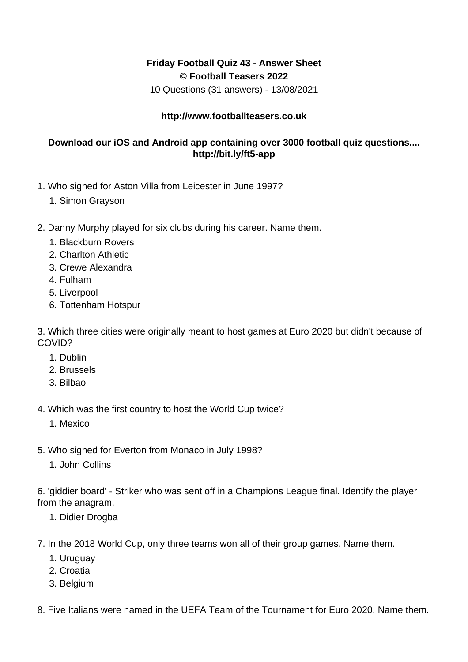## **Friday Football Quiz 43 - Answer Sheet © Football Teasers 2022**

10 Questions (31 answers) - 13/08/2021

## **http://www.footballteasers.co.uk**

## **Download our iOS and Android app containing over 3000 football quiz questions.... http://bit.ly/ft5-app**

- 1. Who signed for Aston Villa from Leicester in June 1997?
	- 1. Simon Grayson
- 2. Danny Murphy played for six clubs during his career. Name them.
	- 1. Blackburn Rovers
	- 2. Charlton Athletic
	- 3. Crewe Alexandra
	- 4. Fulham
	- 5. Liverpool
	- 6. Tottenham Hotspur

3. Which three cities were originally meant to host games at Euro 2020 but didn't because of COVID?

- 1. Dublin
- 2. Brussels
- 3. Bilbao
- 4. Which was the first country to host the World Cup twice?
	- 1. Mexico
- 5. Who signed for Everton from Monaco in July 1998?
	- 1. John Collins

6. 'giddier board' - Striker who was sent off in a Champions League final. Identify the player from the anagram.

- 1. Didier Drogba
- 7. In the 2018 World Cup, only three teams won all of their group games. Name them.
	- 1. Uruguay
	- 2. Croatia
	- 3. Belgium

8. Five Italians were named in the UEFA Team of the Tournament for Euro 2020. Name them.